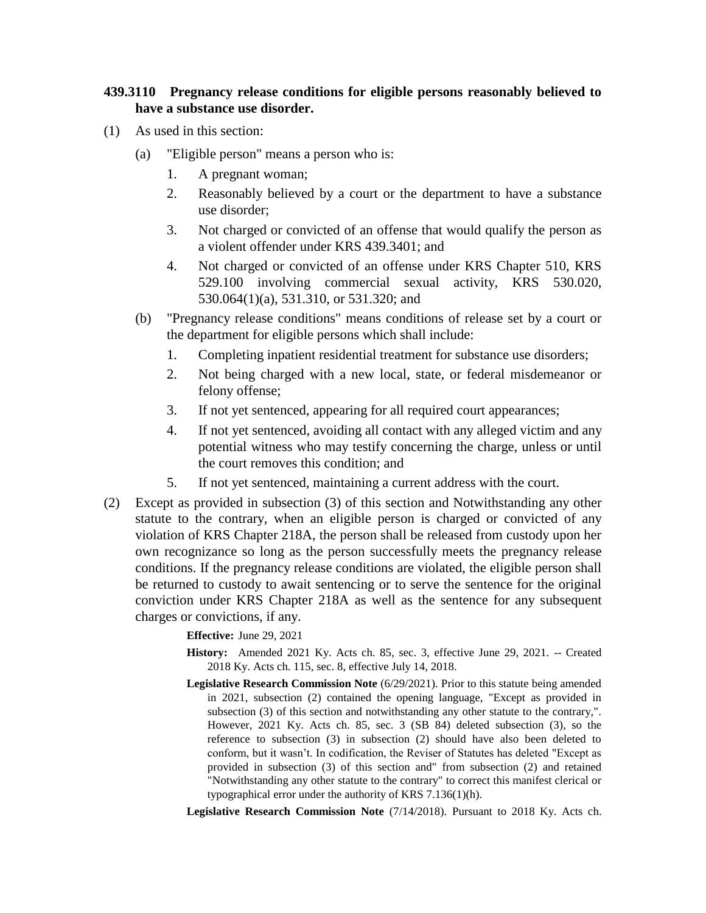## **439.3110 Pregnancy release conditions for eligible persons reasonably believed to have a substance use disorder.**

- (1) As used in this section:
	- (a) "Eligible person" means a person who is:
		- 1. A pregnant woman;
		- 2. Reasonably believed by a court or the department to have a substance use disorder;
		- 3. Not charged or convicted of an offense that would qualify the person as a violent offender under KRS 439.3401; and
		- 4. Not charged or convicted of an offense under KRS Chapter 510, KRS 529.100 involving commercial sexual activity, KRS 530.020, 530.064(1)(a), 531.310, or 531.320; and
	- (b) "Pregnancy release conditions" means conditions of release set by a court or the department for eligible persons which shall include:
		- 1. Completing inpatient residential treatment for substance use disorders;
		- 2. Not being charged with a new local, state, or federal misdemeanor or felony offense;
		- 3. If not yet sentenced, appearing for all required court appearances;
		- 4. If not yet sentenced, avoiding all contact with any alleged victim and any potential witness who may testify concerning the charge, unless or until the court removes this condition; and
		- 5. If not yet sentenced, maintaining a current address with the court.
- (2) Except as provided in subsection (3) of this section and Notwithstanding any other statute to the contrary, when an eligible person is charged or convicted of any violation of KRS Chapter 218A, the person shall be released from custody upon her own recognizance so long as the person successfully meets the pregnancy release conditions. If the pregnancy release conditions are violated, the eligible person shall be returned to custody to await sentencing or to serve the sentence for the original conviction under KRS Chapter 218A as well as the sentence for any subsequent charges or convictions, if any.

**Effective:** June 29, 2021

- **History:** Amended 2021 Ky. Acts ch. 85, sec. 3, effective June 29, 2021. -- Created 2018 Ky. Acts ch. 115, sec. 8, effective July 14, 2018.
- **Legislative Research Commission Note** (6/29/2021). Prior to this statute being amended in 2021, subsection (2) contained the opening language, "Except as provided in subsection (3) of this section and notwithstanding any other statute to the contrary,". However, 2021 Ky. Acts ch. 85, sec. 3 (SB 84) deleted subsection (3), so the reference to subsection (3) in subsection (2) should have also been deleted to conform, but it wasn't. In codification, the Reviser of Statutes has deleted "Except as provided in subsection (3) of this section and" from subsection (2) and retained "Notwithstanding any other statute to the contrary" to correct this manifest clerical or typographical error under the authority of KRS 7.136(1)(h).

**Legislative Research Commission Note** (7/14/2018). Pursuant to 2018 Ky. Acts ch.